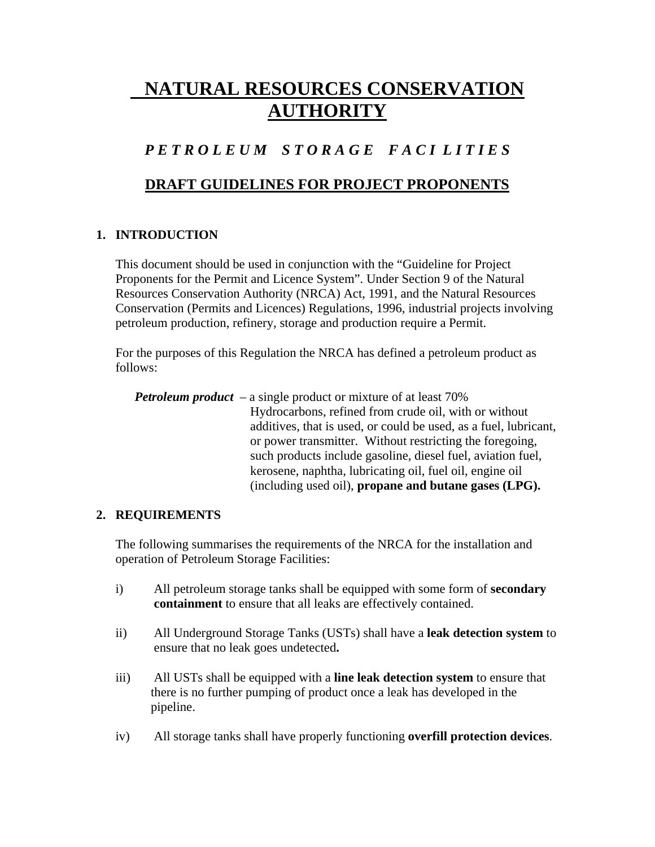# **NATURAL RESOURCES CONSERVATION AUTHORITY**

## *P E T R O L E U M S T O R A G E F A C I L I T I E S*

### **DRAFT GUIDELINES FOR PROJECT PROPONENTS**

#### **1. INTRODUCTION**

This document should be used in conjunction with the "Guideline for Project Proponents for the Permit and Licence System". Under Section 9 of the Natural Resources Conservation Authority (NRCA) Act, 1991, and the Natural Resources Conservation (Permits and Licences) Regulations, 1996, industrial projects involving petroleum production, refinery, storage and production require a Permit.

For the purposes of this Regulation the NRCA has defined a petroleum product as follows:

*Petroleum product –* a single product or mixture of at least 70% Hydrocarbons, refined from crude oil, with or without additives, that is used, or could be used, as a fuel, lubricant, or power transmitter. Without restricting the foregoing, such products include gasoline, diesel fuel, aviation fuel, kerosene, naphtha, lubricating oil, fuel oil, engine oil (including used oil), **propane and butane gases (LPG).**

#### **2. REQUIREMENTS**

The following summarises the requirements of the NRCA for the installation and operation of Petroleum Storage Facilities:

- i) All petroleum storage tanks shall be equipped with some form of **secondary containment** to ensure that all leaks are effectively contained.
- ii) All Underground Storage Tanks (USTs) shall have a **leak detection system** to ensure that no leak goes undetected**.**
- iii) All USTs shall be equipped with a **line leak detection system** to ensure that there is no further pumping of product once a leak has developed in the pipeline.
- iv) All storage tanks shall have properly functioning **overfill protection devices**.